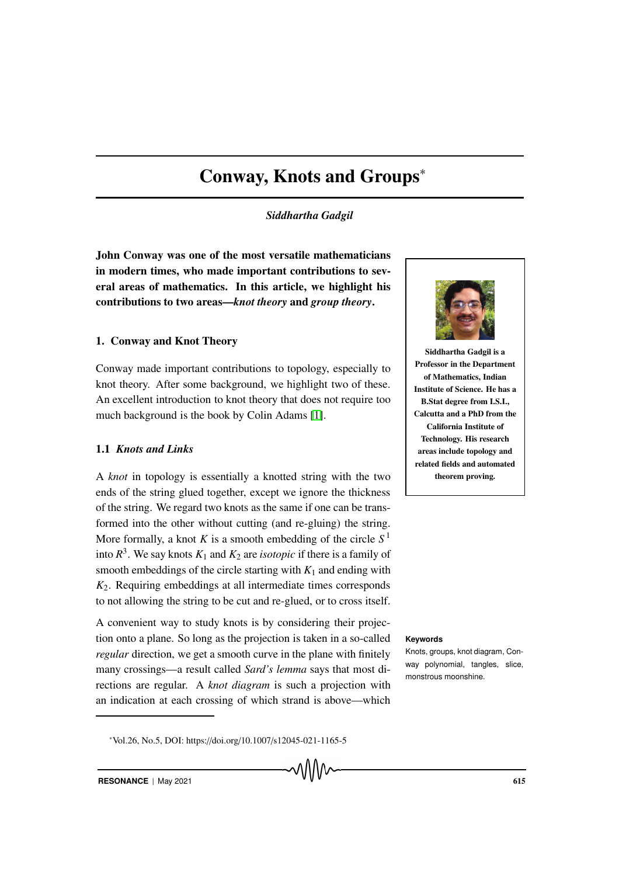# Conway, Knots and Groups<sup>∗</sup>

*Siddhartha Gadgil*

John Conway was one of the most versatile mathematicians in modern times, who made important contributions to several areas of mathematics. In this article, we highlight his contributions to two areas—*knot theory* and *group theory*.

# 1. Conway and Knot Theory

Conway made important contributions to topology, especially to knot theory. After some background, we highlight two of these. An excellent introduction to knot theory that does not require too much background is the book by Colin Adams [1].

# 1.1 *Knots and Links*

A *knot* in topology is essentially a knotted string with the two ends of the string glued together, except we ignore the thickness of the string. We regard two knots as the same if one can be transformed into the other without cutting (and re-gluing) the string. More formally, a knot  $K$  is a smooth embedding of the circle  $S<sup>1</sup>$ into  $R^3$ . We say knots  $K_1$  and  $K_2$  are *isotopic* if there is a family of smooth embeddings of the circle starting with  $K_1$  and ending with *K*2. Requiring embeddings at all intermediate times corresponds to not allowing the string to be cut and re-glued, or to cross itself.

A convenient way to study knots is by considering their projection onto a plane. So long as the projection is taken in a so-called **Keywords** *regular* direction, we get a smooth curve in the plane with finitely many crossings—a result called *Sard's lemma* says that most directions are regular. A *knot diagram* is such a projection with an indication at each crossing of which strand is above—which



Siddhartha Gadgil is a Professor in the Department of Mathematics, Indian Institute of Science. He has a B.Stat degree from I.S.I., Calcutta and a PhD from the California Institute of Technology. His research areas include topology and related fields and automated theorem proving.

Knots, groups, knot diagram, Conway polynomial, tangles, slice, monstrous moonshine.

<sup>∗</sup>Vol.26, No.5, DOI: https://doi.org/10.1007/s12045-021-1165-5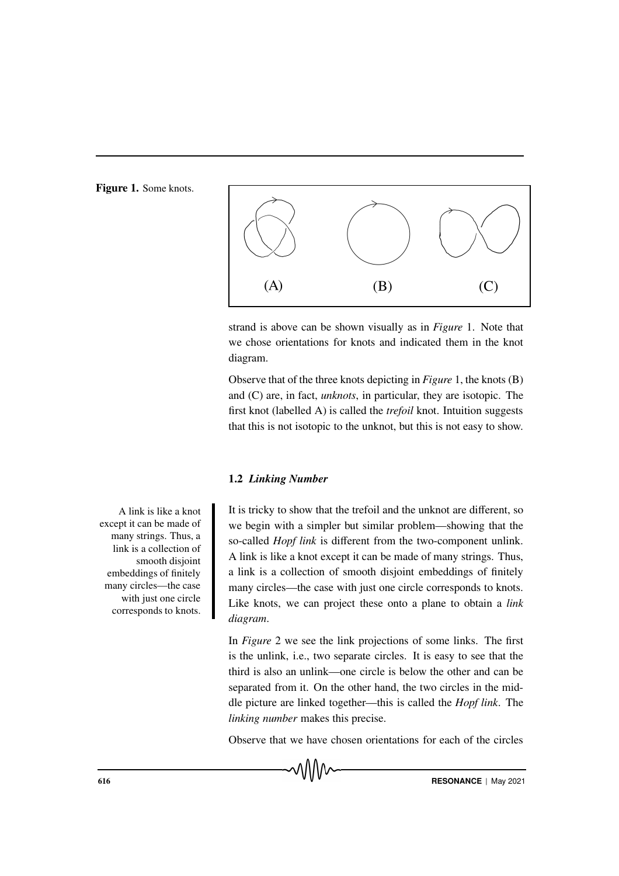Figure 1. Some knots.



strand is above can be shown visually as in *Figure* 1. Note that we chose orientations for knots and indicated them in the knot diagram.

Observe that of the three knots depicting in *Figure* 1, the knots (B) and (C) are, in fact, *unknots*, in particular, they are isotopic. The first knot (labelled A) is called the *trefoil* knot. Intuition suggests that this is not isotopic to the unknot, but this is not easy to show.

#### 1.2 *Linking Number*

It is tricky to show that the trefoil and the unknot are different, so we begin with a simpler but similar problem—showing that the so-called *Hopf link* is different from the two-component unlink. A link is like a knot except it can be made of many strings. Thus, a link is a collection of smooth disjoint embeddings of finitely many circles—the case with just one circle corresponds to knots. Like knots, we can project these onto a plane to obtain a *link diagram*.

In *Figure* 2 we see the link projections of some links. The first is the unlink, i.e., two separate circles. It is easy to see that the third is also an unlink—one circle is below the other and can be separated from it. On the other hand, the two circles in the middle picture are linked together—this is called the *Hopf link*. The *linking number* makes this precise.

Observe that we have chosen orientations for each of the circles

A link is like a knot except it can be made of many strings. Thus, a link is a collection of smooth disjoint embeddings of finitely many circles—the case with just one circle corresponds to knots.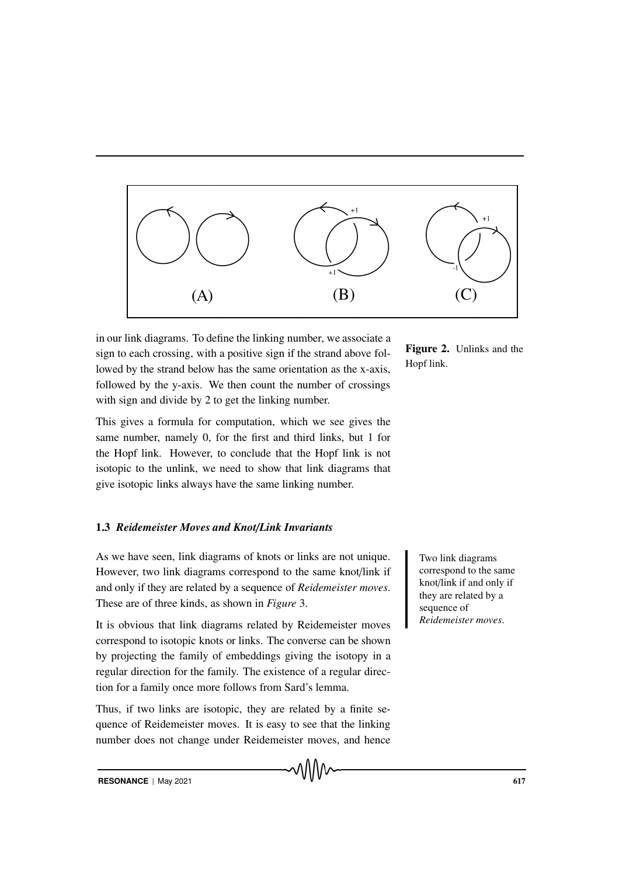

in our link diagrams. To define the linking number, we associate a sign to each crossing, with a positive sign if the strand above followed by the strand below has the same orientation as the x-axis, followed by the y-axis. We then count the number of crossings with sign and divide by 2 to get the linking number.

This gives a formula for computation, which we see gives the same number, namely 0, for the first and third links, but 1 for the Hopf link. However, to conclude that the Hopf link is not isotopic to the unlink, we need to show that link diagrams that give isotopic links always have the same linking number.

# 1.3 *Reidemeister Moves and Knot*/*Link Invariants*

As we have seen, link diagrams of knots or links are not unique. Two link diagrams However, two link diagrams correspond to the same knot/link if and only if they are related by a sequence of *Reidemeister moves*. These are of three kinds, as shown in *Figure* 3.

It is obvious that link diagrams related by Reidemeister moves correspond to isotopic knots or links. The converse can be shown by projecting the family of embeddings giving the isotopy in a regular direction for the family. The existence of a regular direction for a family once more follows from Sard's lemma.

Thus, if two links are isotopic, they are related by a finite sequence of Reidemeister moves. It is easy to see that the linking number does not change under Reidemeister moves, and hence Figure 2. Unlinks and the Hopf link.

> correspond to the same knot/link if and only if they are related by a sequence of *Reidemeister moves*.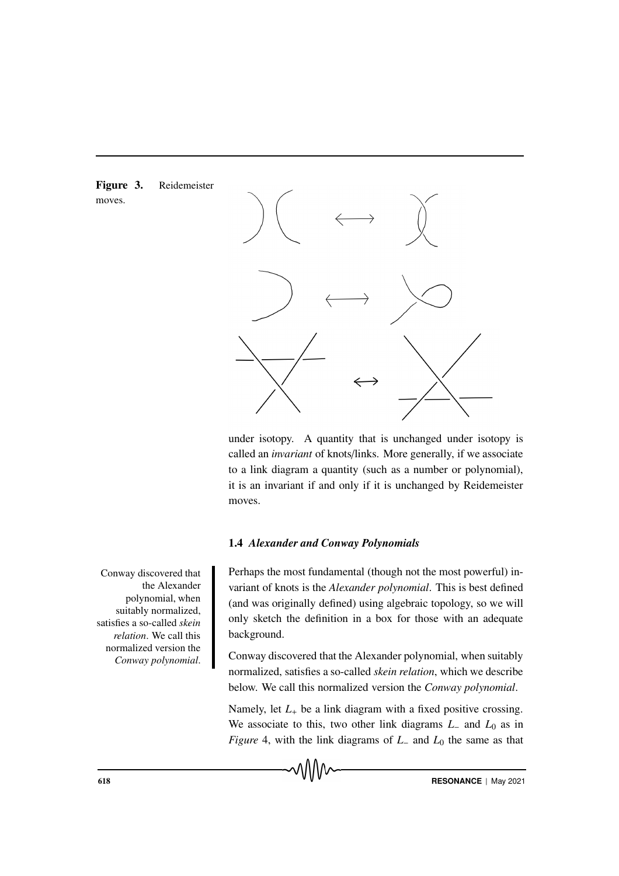



under isotopy. A quantity that is unchanged under isotopy is called an *invariant* of knots/links. More generally, if we associate to a link diagram a quantity (such as a number or polynomial), it is an invariant if and only if it is unchanged by Reidemeister moves.

#### 1.4 *Alexander and Conway Polynomials*

Perhaps the most fundamental (though not the most powerful) invariant of knots is the *Alexander polynomial*. This is best defined (and was originally defined) using algebraic topology, so we will only sketch the definition in a box for those with an adequate background.

Conway discovered that the Alexander polynomial, when suitably normalized, satisfies a so-called *skein relation*, which we describe below. We call this normalized version the *Conway polynomial*.

Namely, let  $L_{+}$  be a link diagram with a fixed positive crossing. We associate to this, two other link diagrams *L*<sup>−</sup> and *L*<sup>0</sup> as in *Figure* 4, with the link diagrams of *L*<sup>−</sup> and *L*<sup>0</sup> the same as that

Conway discovered that the Alexander polynomial, when suitably normalized, satisfies a so-called *skein relation*. We call this normalized version the *Conway polynomial*.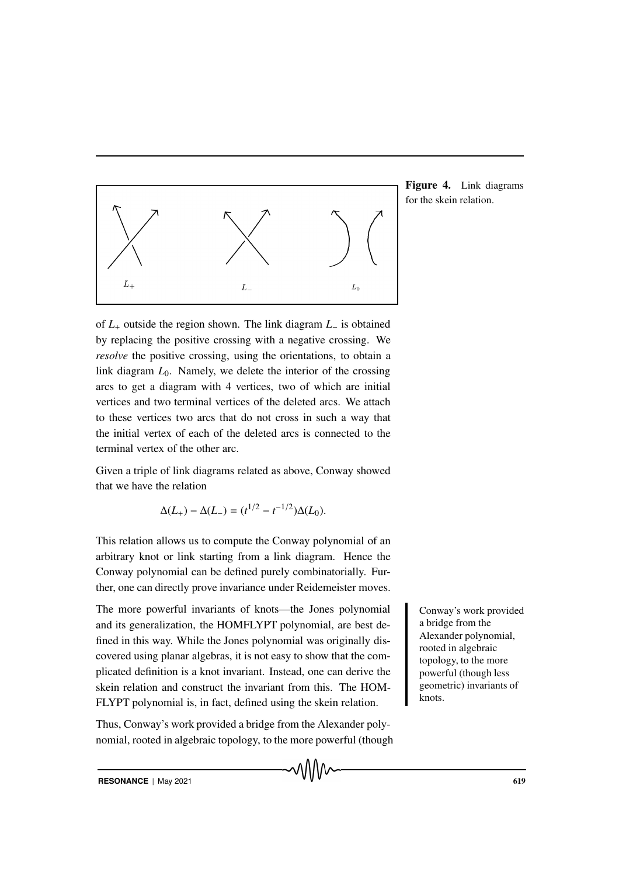

Figure 4. Link diagrams for the skein relation.

of *L*<sup>+</sup> outside the region shown. The link diagram *L*<sup>−</sup> is obtained by replacing the positive crossing with a negative crossing. We *resolve* the positive crossing, using the orientations, to obtain a link diagram *L*0. Namely, we delete the interior of the crossing arcs to get a diagram with 4 vertices, two of which are initial vertices and two terminal vertices of the deleted arcs. We attach to these vertices two arcs that do not cross in such a way that the initial vertex of each of the deleted arcs is connected to the terminal vertex of the other arc.

Given a triple of link diagrams related as above, Conway showed that we have the relation

$$
\Delta(L_+) - \Delta(L_-) = (t^{1/2} - t^{-1/2})\Delta(L_0).
$$

This relation allows us to compute the Conway polynomial of an arbitrary knot or link starting from a link diagram. Hence the Conway polynomial can be defined purely combinatorially. Further, one can directly prove invariance under Reidemeister moves.

The more powerful invariants of knots—the Jones polynomial Conway's work provided and its generalization, the HOMFLYPT polynomial, are best defined in this way. While the Jones polynomial was originally discovered using planar algebras, it is not easy to show that the complicated definition is a knot invariant. Instead, one can derive the skein relation and construct the invariant from this. The HOM-FLYPT polynomial is, in fact, defined using the skein relation.

Thus, Conway's work provided a bridge from the Alexander polynomial, rooted in algebraic topology, to the more powerful (though a bridge from the Alexander polynomial, rooted in algebraic topology, to the more powerful (though less geometric) invariants of knots.

**RESONANCE** | May 2021 619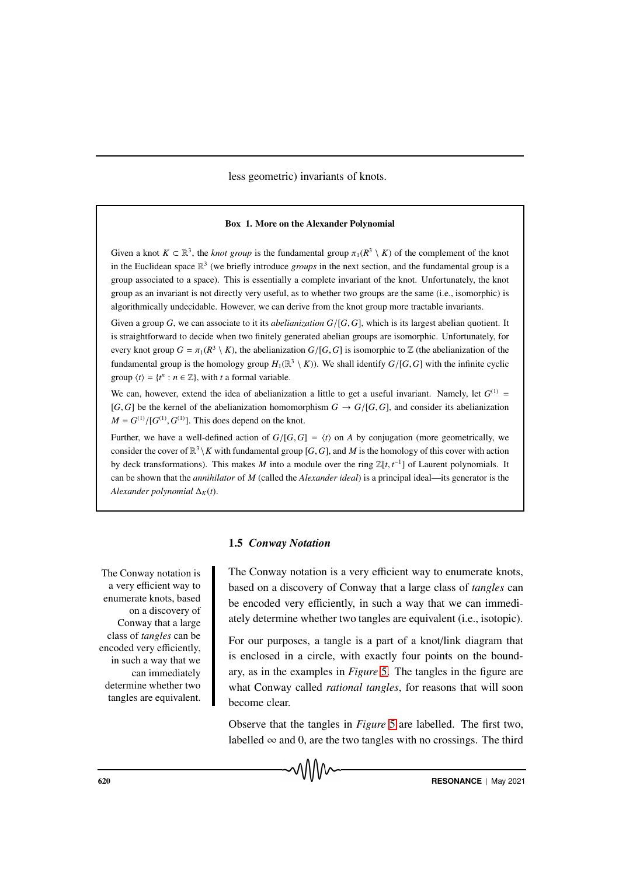less geometric) invariants of knots.

#### Box 1. More on the Alexander Polynomial

Given a knot  $K \subset \mathbb{R}^3$ , the *knot group* is the fundamental group  $\pi_1(R^3 \setminus K)$  of the complement of the knot in the Euclidean space R 3 (we briefly introduce *groups* in the next section, and the fundamental group is a group associated to a space). This is essentially a complete invariant of the knot. Unfortunately, the knot group as an invariant is not directly very useful, as to whether two groups are the same (i.e., isomorphic) is algorithmically undecidable. However, we can derive from the knot group more tractable invariants.

Given a group *G*, we can associate to it its *abelianization G*/[*G*,*G*], which is its largest abelian quotient. It is straightforward to decide when two finitely generated abelian groups are isomorphic. Unfortunately, for every knot group  $G = \pi_1(R^3 \setminus K)$ , the abelianization  $G/[G,G]$  is isomorphic to  $\mathbb Z$  (the abelianization of the fundamental group is the homology group  $H_1(\mathbb{R}^3 \setminus K)$ ). We shall identify  $G/[G,G]$  with the infinite cyclic group  $\langle t \rangle = \{t^n : n \in \mathbb{Z}\},\$  with *t* a formal variable.

We can, however, extend the idea of abelianization a little to get a useful invariant. Namely, let  $G^{(1)}$  = [*G*, *G*] be the kernel of the abelianization homomorphism  $G \rightarrow G/[G, G]$ , and consider its abelianization  $M = G^{(1)}/[G^{(1)}, G^{(1)}]$ . This does depend on the knot.

Further, we have a well-defined action of  $G/[G, G] = \langle t \rangle$  on *A* by conjugation (more geometrically, we consider the cover of  $\mathbb{R}^3 \setminus K$  with fundamental group [*G*, *G*], and *M* is the homology of this cover with action by deck transformations). This makes *M* into a module over the ring  $\mathbb{Z}[t, t^{-1}]$  of Laurent polynomials. It can be shown that the *annihilator* of *M* (called the *Alexander ideal*) is a principal ideal—its generator is the *Alexander polynomial*  $\Delta_K(t)$ .

#### 1.5 *Conway Notation*

The Conway notation is a very efficient way to enumerate knots, based on a discovery of Conway that a large class of *tangles* can be encoded very efficiently, in such a way that we can immediately determine whether two tangles are equivalent. The Conway notation is a very efficient way to enumerate knots, based on a discovery of Conway that a large class of *tangles* can be encoded very efficiently, in such a way that we can immediately determine whether two tangles are equivalent (i.e., isotopic).

For our purposes, a tangle is a part of a knot/link diagram that is enclosed in a circle, with exactly four points on the boundary, as in the examples in *Figure* 5. The tangles in the figure are what Conway called *rational tangles*, for reasons that will soon become clear.

Observe that the tangles in *Figure* 5 are labelled. The first two, labelled  $\infty$  and 0, are the two tangles with no crossings. The third

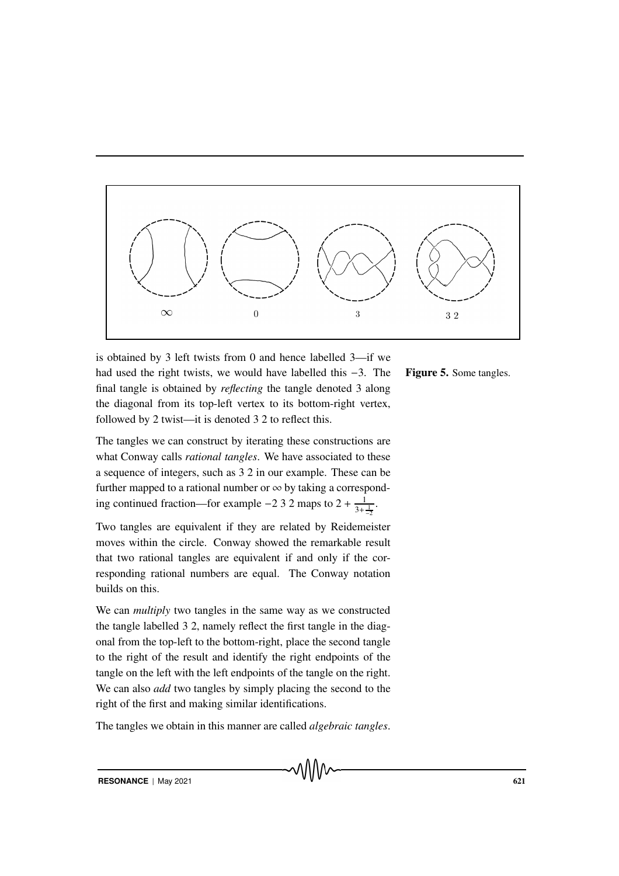

is obtained by 3 left twists from 0 and hence labelled 3—if we had used the right twists, we would have labelled this −3. The final tangle is obtained by *reflecting* the tangle denoted 3 along the diagonal from its top-left vertex to its bottom-right vertex, followed by 2 twist—it is denoted 3 2 to reflect this.

The tangles we can construct by iterating these constructions are what Conway calls *rational tangles*. We have associated to these a sequence of integers, such as 3 2 in our example. These can be further mapped to a rational number or  $\infty$  by taking a corresponding continued fraction—for example −2 3 2 maps to  $2 + \frac{1}{3}$  $\frac{1}{3+\frac{1}{-2}}$ .

Two tangles are equivalent if they are related by Reidemeister moves within the circle. Conway showed the remarkable result that two rational tangles are equivalent if and only if the corresponding rational numbers are equal. The Conway notation builds on this.

We can *multiply* two tangles in the same way as we constructed the tangle labelled 3 2, namely reflect the first tangle in the diagonal from the top-left to the bottom-right, place the second tangle to the right of the result and identify the right endpoints of the tangle on the left with the left endpoints of the tangle on the right. We can also *add* two tangles by simply placing the second to the right of the first and making similar identifications.

The tangles we obtain in this manner are called *algebraic tangles*.

#### Figure 5. Some tangles.

**RESONANCE** | May 2021 621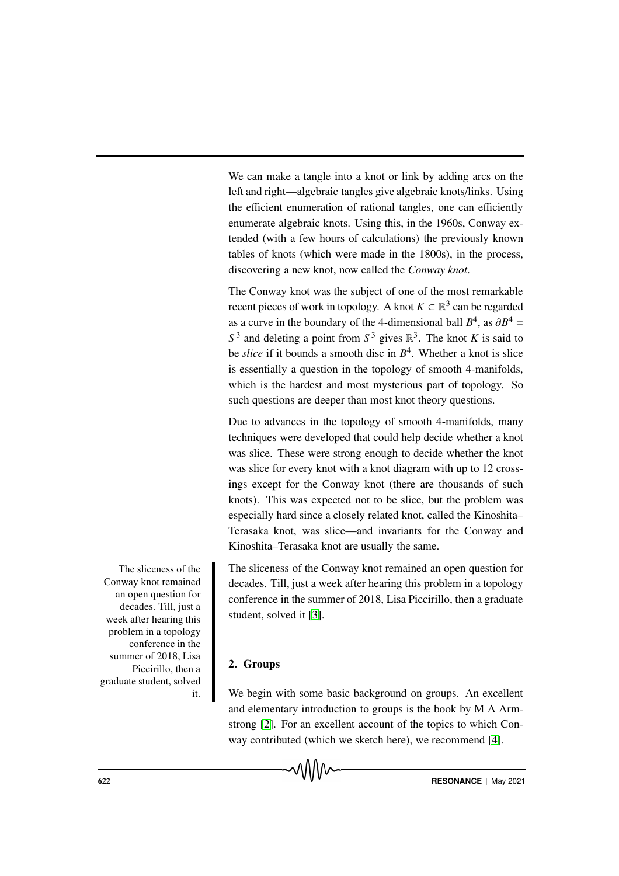We can make a tangle into a knot or link by adding arcs on the left and right—algebraic tangles give algebraic knots/links. Using the efficient enumeration of rational tangles, one can efficiently enumerate algebraic knots. Using this, in the 1960s, Conway extended (with a few hours of calculations) the previously known tables of knots (which were made in the 1800s), in the process, discovering a new knot, now called the *Conway knot*.

The Conway knot was the subject of one of the most remarkable recent pieces of work in topology. A knot  $K \subset \mathbb{R}^3$  can be regarded as a curve in the boundary of the 4-dimensional ball  $B^4$ , as  $\partial B^4 =$  $S<sup>3</sup>$  and deleting a point from  $S<sup>3</sup>$  gives  $\mathbb{R}<sup>3</sup>$ . The knot *K* is said to be *slice* if it bounds a smooth disc in *B* 4 . Whether a knot is slice is essentially a question in the topology of smooth 4-manifolds, which is the hardest and most mysterious part of topology. So such questions are deeper than most knot theory questions.

Due to advances in the topology of smooth 4-manifolds, many techniques were developed that could help decide whether a knot was slice. These were strong enough to decide whether the knot was slice for every knot with a knot diagram with up to 12 crossings except for the Conway knot (there are thousands of such knots). This was expected not to be slice, but the problem was especially hard since a closely related knot, called the Kinoshita– Terasaka knot, was slice—and invariants for the Conway and Kinoshita–Terasaka knot are usually the same.

The sliceness of the Conway knot remained an open question for decades. Till, just a week after hearing this problem in a topology conference in the summer of 2018, Lisa Piccirillo, then a graduate student, solved it [3].

# 2. Groups

We begin with some basic background on groups. An excellent and elementary introduction to groups is the book by M A Armstrong [2]. For an excellent account of the topics to which Conway contributed (which we sketch here), we recommend [4].

The sliceness of the Conway knot remained an open question for decades. Till, just a week after hearing this problem in a topology conference in the summer of 2018, Lisa Piccirillo, then a graduate student, solved it.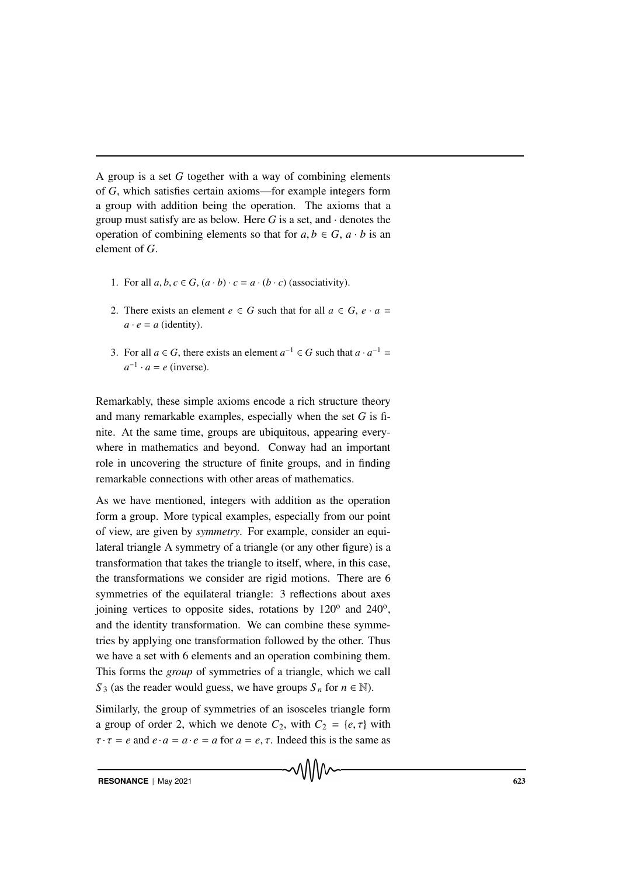A group is a set *G* together with a way of combining elements of *G*, which satisfies certain axioms—for example integers form a group with addition being the operation. The axioms that a group must satisfy are as below. Here *G* is a set, and · denotes the operation of combining elements so that for  $a, b \in G$ ,  $a \cdot b$  is an element of *G*.

- 1. For all  $a, b, c \in G$ ,  $(a \cdot b) \cdot c = a \cdot (b \cdot c)$  (associativity).
- 2. There exists an element  $e \in G$  such that for all  $a \in G$ ,  $e \cdot a =$  $a \cdot e = a$  (identity).
- 3. For all  $a \in G$ , there exists an element  $a^{-1} \in G$  such that  $a \cdot a^{-1} =$  $a^{-1} \cdot a = e$  (inverse).

Remarkably, these simple axioms encode a rich structure theory and many remarkable examples, especially when the set *G* is finite. At the same time, groups are ubiquitous, appearing everywhere in mathematics and beyond. Conway had an important role in uncovering the structure of finite groups, and in finding remarkable connections with other areas of mathematics.

As we have mentioned, integers with addition as the operation form a group. More typical examples, especially from our point of view, are given by *symmetry*. For example, consider an equilateral triangle A symmetry of a triangle (or any other figure) is a transformation that takes the triangle to itself, where, in this case, the transformations we consider are rigid motions. There are 6 symmetries of the equilateral triangle: 3 reflections about axes joining vertices to opposite sides, rotations by  $120^{\circ}$  and  $240^{\circ}$ , and the identity transformation. We can combine these symmetries by applying one transformation followed by the other. Thus we have a set with 6 elements and an operation combining them. This forms the *group* of symmetries of a triangle, which we call *S*<sub>3</sub> (as the reader would guess, we have groups  $S_n$  for  $n \in \mathbb{N}$ ).

Similarly, the group of symmetries of an isosceles triangle form a group of order 2, which we denote  $C_2$ , with  $C_2 = \{e, \tau\}$  with  $\tau \cdot \tau = e$  and  $e \cdot a = a \cdot e = a$  for  $a = e, \tau$ . Indeed this is the same as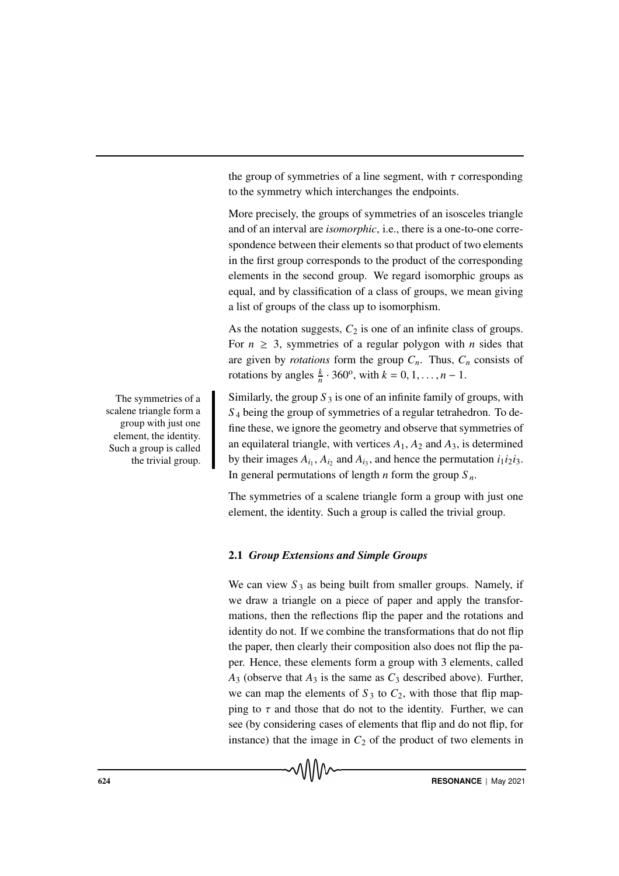the group of symmetries of a line segment, with  $\tau$  corresponding to the symmetry which interchanges the endpoints.

More precisely, the groups of symmetries of an isosceles triangle and of an interval are *isomorphic*, i.e., there is a one-to-one correspondence between their elements so that product of two elements in the first group corresponds to the product of the corresponding elements in the second group. We regard isomorphic groups as equal, and by classification of a class of groups, we mean giving a list of groups of the class up to isomorphism.

As the notation suggests,  $C_2$  is one of an infinite class of groups. For  $n \geq 3$ , symmetries of a regular polygon with *n* sides that are given by *rotations* form the group  $C_n$ . Thus,  $C_n$  consists of rotations by angles  $\frac{k}{n} \cdot 360^\circ$ , with  $k = 0, 1, \dots, n - 1$ .

Similarly, the group  $S_3$  is one of an infinite family of groups, with *S* <sup>4</sup> being the group of symmetries of a regular tetrahedron. To define these, we ignore the geometry and observe that symmetries of an equilateral triangle, with vertices  $A_1$ ,  $A_2$  and  $A_3$ , is determined by their images  $A_{i_1}$ ,  $A_{i_2}$  and  $A_{i_3}$ , and hence the permutation  $i_1 i_2 i_3$ . In general permutations of length *n* form the group  $S_n$ .

The symmetries of a scalene triangle form a group with just one element, the identity. Such a group is called the trivial group.

### 2.1 *Group Extensions and Simple Groups*

We can view  $S_3$  as being built from smaller groups. Namely, if we draw a triangle on a piece of paper and apply the transformations, then the reflections flip the paper and the rotations and identity do not. If we combine the transformations that do not flip the paper, then clearly their composition also does not flip the paper. Hence, these elements form a group with 3 elements, called  $A_3$  (observe that  $A_3$  is the same as  $C_3$  described above). Further, we can map the elements of  $S_3$  to  $C_2$ , with those that flip mapping to  $\tau$  and those that do not to the identity. Further, we can see (by considering cases of elements that flip and do not flip, for instance) that the image in  $C_2$  of the product of two elements in

The symmetries of a scalene triangle form a group with just one element, the identity. Such a group is called the trivial group.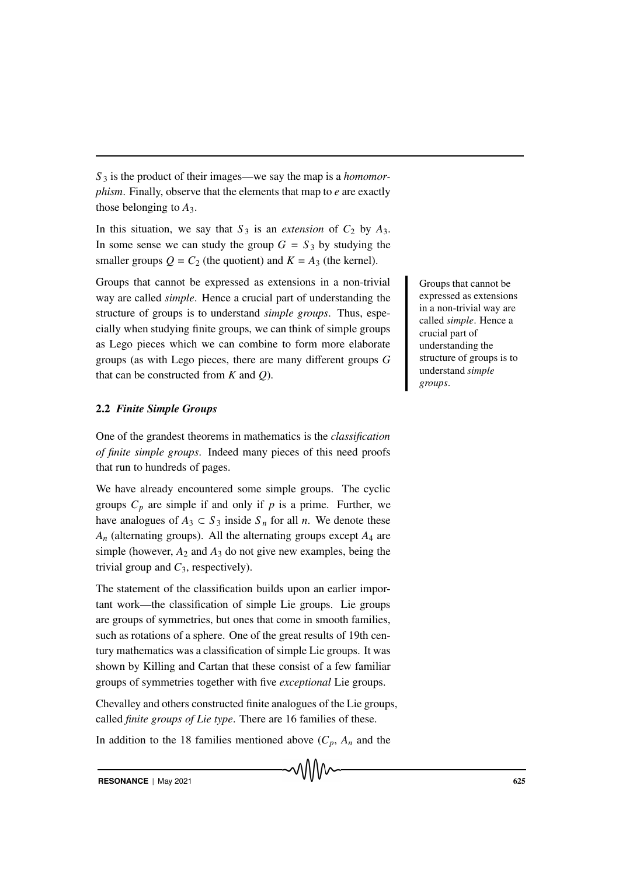*S* <sup>3</sup> is the product of their images—we say the map is a *homomorphism*. Finally, observe that the elements that map to *e* are exactly those belonging to *A*3.

In this situation, we say that  $S_3$  is an *extension* of  $C_2$  by  $A_3$ . In some sense we can study the group  $G = S_3$  by studying the smaller groups  $Q = C_2$  (the quotient) and  $K = A_3$  (the kernel).

Groups that cannot be expressed as extensions in a non-trivial Groups that cannot be way are called *simple*. Hence a crucial part of understanding the structure of groups is to understand *simple groups*. Thus, especially when studying finite groups, we can think of simple groups as Lego pieces which we can combine to form more elaborate groups (as with Lego pieces, there are many different groups *G* that can be constructed from *K* and *Q*).

# 2.2 *Finite Simple Groups*

One of the grandest theorems in mathematics is the *classification of finite simple groups*. Indeed many pieces of this need proofs that run to hundreds of pages.

We have already encountered some simple groups. The cyclic groups  $C_p$  are simple if and only if  $p$  is a prime. Further, we have analogues of  $A_3 \subset S_3$  inside  $S_n$  for all *n*. We denote these *A<sup>n</sup>* (alternating groups). All the alternating groups except *A*<sup>4</sup> are simple (however,  $A_2$  and  $A_3$  do not give new examples, being the trivial group and  $C_3$ , respectively).

The statement of the classification builds upon an earlier important work—the classification of simple Lie groups. Lie groups are groups of symmetries, but ones that come in smooth families, such as rotations of a sphere. One of the great results of 19th century mathematics was a classification of simple Lie groups. It was shown by Killing and Cartan that these consist of a few familiar groups of symmetries together with five *exceptional* Lie groups.

Chevalley and others constructed finite analogues of the Lie groups, called *finite groups of Lie type*. There are 16 families of these.

In addition to the 18 families mentioned above  $(C_p, A_n$  and the

expressed as extensions in a non-trivial way are called *simple*. Hence a crucial part of understanding the structure of groups is to understand *simple groups*.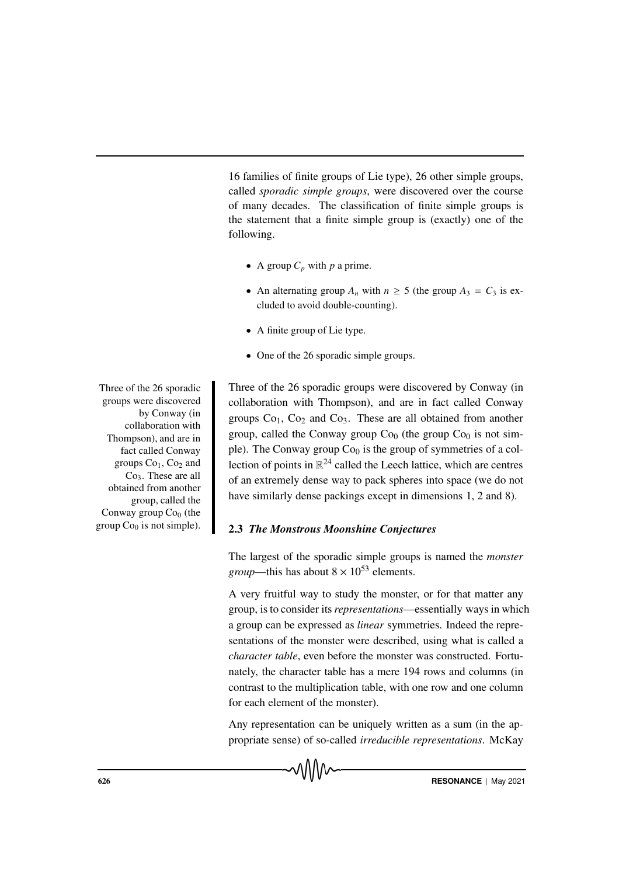16 families of finite groups of Lie type), 26 other simple groups, called *sporadic simple groups*, were discovered over the course of many decades. The classification of finite simple groups is the statement that a finite simple group is (exactly) one of the following.

- A group  $C_p$  with  $p$  a prime.
- An alternating group  $A_n$  with  $n \geq 5$  (the group  $A_3 = C_3$  is excluded to avoid double-counting).
- A finite group of Lie type.
- One of the 26 sporadic simple groups.

Three of the 26 sporadic groups were discovered by Conway (in collaboration with Thompson), and are in fact called Conway groups  $Co<sub>1</sub>$ ,  $Co<sub>2</sub>$  and  $Co<sub>3</sub>$ . These are all obtained from another group, called the Conway group  $Co<sub>0</sub>$  (the group  $Co<sub>0</sub>$  is not simple). The Conway group  $Co<sub>0</sub>$  is the group of symmetries of a collection of points in  $\mathbb{R}^{24}$  called the Leech lattice, which are centres of an extremely dense way to pack spheres into space (we do not have similarly dense packings except in dimensions 1, 2 and 8).

# 2.3 *The Monstrous Moonshine Conjectures*

The largest of the sporadic simple groups is named the *monster group*—this has about  $8 \times 10^{53}$  elements.

A very fruitful way to study the monster, or for that matter any group, is to consider its*representations*—essentially ways in which a group can be expressed as *linear* symmetries. Indeed the representations of the monster were described, using what is called a *character table*, even before the monster was constructed. Fortunately, the character table has a mere 194 rows and columns (in contrast to the multiplication table, with one row and one column for each element of the monster).

Any representation can be uniquely written as a sum (in the appropriate sense) of so-called *irreducible representations*. McKay

Three of the 26 sporadic groups were discovered by Conway (in collaboration with Thompson), and are in fact called Conway groups  $Co<sub>1</sub>$ ,  $Co<sub>2</sub>$  and Co3. These are all obtained from another group, called the Conway group  $Co<sub>0</sub>$  (the group  $Co<sub>0</sub>$  is not simple).